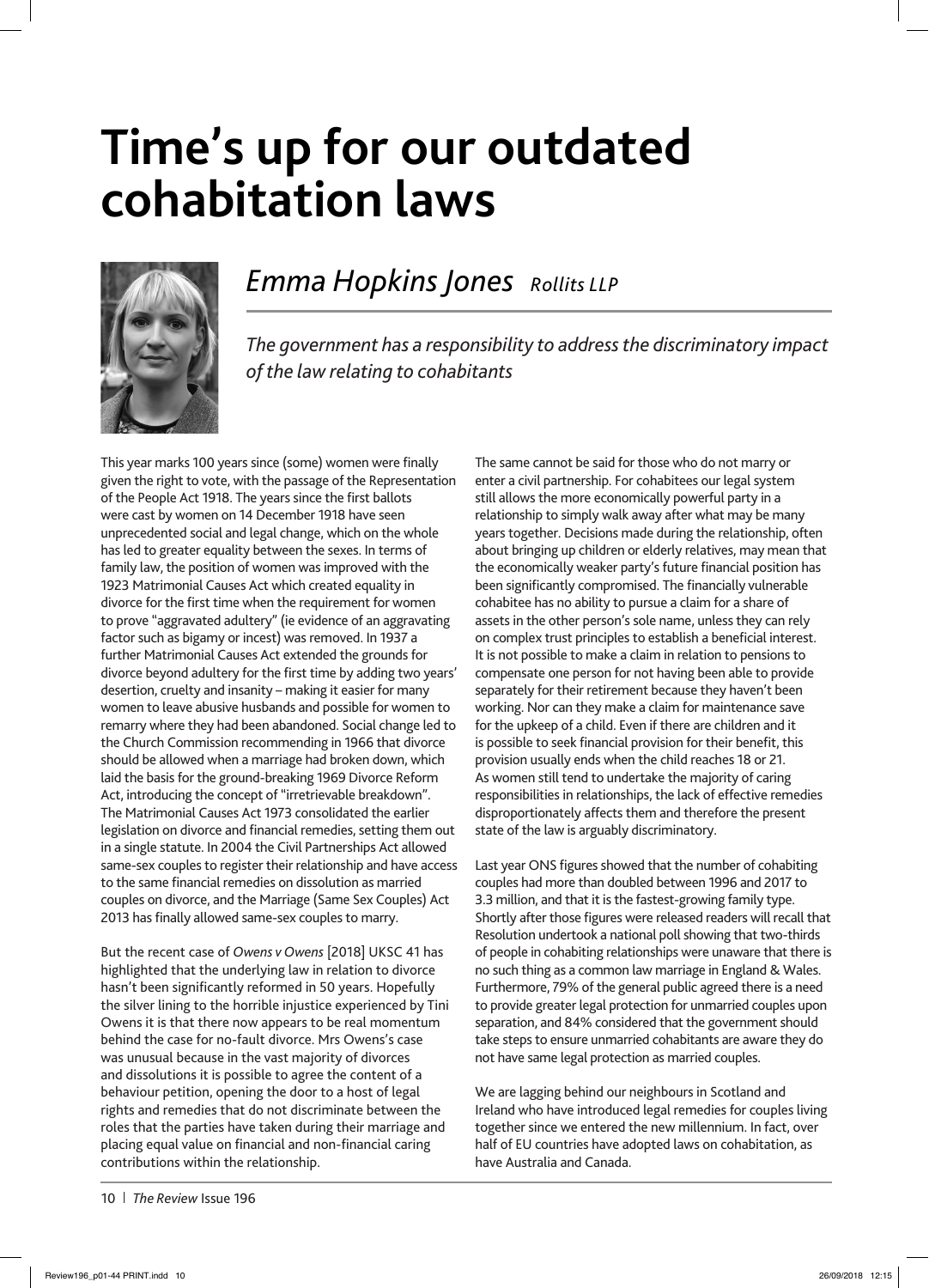## **Time's up for our outdated cohabitation laws**



## *Emma Hopkins Jones Rollits LLP*

*The government has a responsibility to address the discriminatory impact of the law relating to cohabitants*

This year marks 100 years since (some) women were finally given the right to vote, with the passage of the Representation of the People Act 1918. The years since the first ballots were cast by women on 14 December 1918 have seen unprecedented social and legal change, which on the whole has led to greater equality between the sexes. In terms of family law, the position of women was improved with the 1923 Matrimonial Causes Act which created equality in divorce for the first time when the requirement for women to prove "aggravated adultery" (ie evidence of an aggravating factor such as bigamy or incest) was removed. In 1937 a further Matrimonial Causes Act extended the grounds for divorce beyond adultery for the first time by adding two years' desertion, cruelty and insanity – making it easier for many women to leave abusive husbands and possible for women to remarry where they had been abandoned. Social change led to the Church Commission recommending in 1966 that divorce should be allowed when a marriage had broken down, which laid the basis for the ground-breaking 1969 Divorce Reform Act, introducing the concept of "irretrievable breakdown". The Matrimonial Causes Act 1973 consolidated the earlier legislation on divorce and financial remedies, setting them out in a single statute. In 2004 the Civil Partnerships Act allowed same-sex couples to register their relationship and have access to the same financial remedies on dissolution as married couples on divorce, and the Marriage (Same Sex Couples) Act 2013 has finally allowed same-sex couples to marry.

But the recent case of *Owens v Owens* [2018] UKSC 41 has highlighted that the underlying law in relation to divorce hasn't been significantly reformed in 50 years. Hopefully the silver lining to the horrible injustice experienced by Tini Owens it is that there now appears to be real momentum behind the case for no-fault divorce. Mrs Owens's case was unusual because in the vast majority of divorces and dissolutions it is possible to agree the content of a behaviour petition, opening the door to a host of legal rights and remedies that do not discriminate between the roles that the parties have taken during their marriage and placing equal value on financial and non-financial caring contributions within the relationship.

The same cannot be said for those who do not marry or enter a civil partnership. For cohabitees our legal system still allows the more economically powerful party in a relationship to simply walk away after what may be many years together. Decisions made during the relationship, often about bringing up children or elderly relatives, may mean that the economically weaker party's future financial position has been significantly compromised. The financially vulnerable cohabitee has no ability to pursue a claim for a share of assets in the other person's sole name, unless they can rely on complex trust principles to establish a beneficial interest. It is not possible to make a claim in relation to pensions to compensate one person for not having been able to provide separately for their retirement because they haven't been working. Nor can they make a claim for maintenance save for the upkeep of a child. Even if there are children and it is possible to seek financial provision for their benefit, this provision usually ends when the child reaches 18 or 21. As women still tend to undertake the majority of caring responsibilities in relationships, the lack of effective remedies disproportionately affects them and therefore the present state of the law is arguably discriminatory.

Last year ONS figures showed that the number of cohabiting couples had more than doubled between 1996 and 2017 to 3.3 million, and that it is the fastest-growing family type. Shortly after those figures were released readers will recall that Resolution undertook a national poll showing that two-thirds of people in cohabiting relationships were unaware that there is no such thing as a common law marriage in England & Wales. Furthermore, 79% of the general public agreed there is a need to provide greater legal protection for unmarried couples upon separation, and 84% considered that the government should take steps to ensure unmarried cohabitants are aware they do not have same legal protection as married couples.

We are lagging behind our neighbours in Scotland and Ireland who have introduced legal remedies for couples living together since we entered the new millennium. In fact, over half of EU countries have adopted laws on cohabitation, as have Australia and Canada.